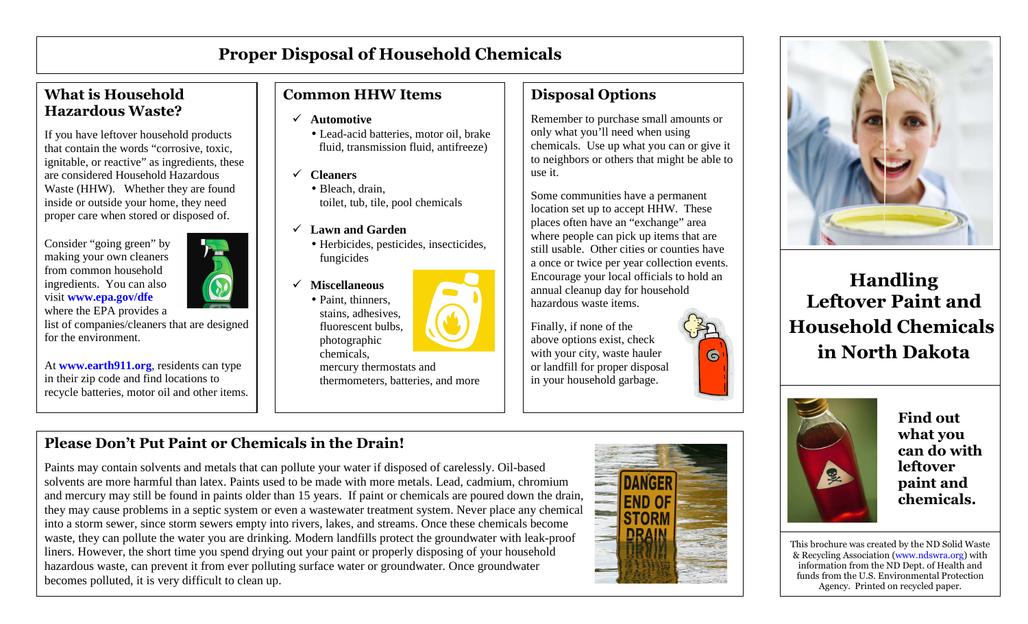# **Proper Disposal of Household Chemicals**

## **What is Household Hazardous Waste?**

If you have leftover household products that contain the words "corrosive, toxic, ignitable, or reactive" as ingredients, these are considered Household Hazardous Waste (HHW). Whether they are found inside or outside your home, they need proper care when stored or disposed of.

Consider "going green" by making your own cleaners from common household ingredients. You can also visit **www.epa.gov/dfe**



At **www.earth911.org**, residents can type in their zip code and find locations to recycle batteries, motor oil and other items.

# **Common HHW Items**

- **Automotive** 
	- Lead-acid batteries, motor oil, brake fluid, transmission fluid, antifreeze)
- $\checkmark$  **Cleaners** 
	- Bleach, drain, toilet, tub, tile, pool chemicals
- **Lawn and Garden**

chemicals,

- Herbicides, pesticides, insecticides, fungicides
- $\checkmark$  **Miscellaneous**  • Paint, thinners, stains, adhesives, fluorescent bulbs, photographic

 mercury thermostats and thermometers, batteries, and more

# **Disposal Options**

Remember to purchase small amounts or only what you'll need when using chemicals. Use up what you can or give it to neighbors or others that might be able to use it.

Some communities have a permanent location set up to accept HHW. These places often have an "exchange" area where people can pick up items that are still usable. Other cities or counties have a once or twice per year collection events. Encourage your local officials to hold an annual cleanup day for household hazardous waste items.

Finally, if none of the above options exist, check with your city, waste hauler or landfill for proper disposal in your household garbage.



**Handling Leftover Paint and Household Chemicalsin North Dakota** 



**Find out what you can do with leftover paint and chemicals.** 

This brochure was created by the ND Solid Waste & Recycling Association (www.ndswra.org) with information from the ND Dept. of Health and funds from the U.S. Environmental Protection Agency. Printed on recycled paper.

# **Please Don't Put Paint or Chemicals in the Drain!**

Paints may contain solvents and metals that can pollute your water if disposed of carelessly. Oil-based solvents are more harmful than latex. Paints used to be made with more metals. Lead, cadmium, chromium and mercury may still be found in paints older than 15 years. If paint or chemicals are poured down the drain, they may cause problems in a septic system or even a wastewater treatment system. Never place any chemical into a storm sewer, since storm sewers empty into rivers, lakes, and streams. Once these chemicals become waste, they can pollute the water you are drinking. Modern landfills protect the groundwater with leak-proof liners. However, the short time you spend drying out your paint or properly disposing of your household hazardous waste, can prevent it from ever polluting surface water or groundwater. Once groundwater becomes polluted, it is very difficult to clean up.